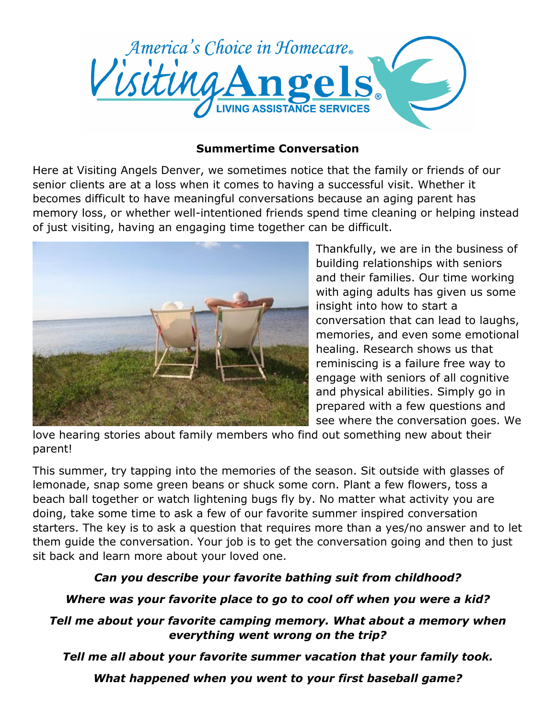

### **Summertime Conversation**

Here at Visiting Angels Denver, we sometimes notice that the family or friends of our senior clients are at a loss when it comes to having a successful visit. Whether it becomes difficult to have meaningful conversations because an aging parent has memory loss, or whether well-intentioned friends spend time cleaning or helping instead of just visiting, having an engaging time together can be difficult.



Thankfully, we are in the business of building relationships with seniors and their families. Our time working with aging adults has given us some insight into how to start a conversation that can lead to laughs, memories, and even some emotional healing. Research shows us that reminiscing is a failure free way to engage with seniors of all cognitive and physical abilities. Simply go in prepared with a few questions and see where the conversation goes. We

love hearing stories about family members who find out something new about their parent!

This summer, try tapping into the memories of the season. Sit outside with glasses of lemonade, snap some green beans or shuck some corn. Plant a few flowers, toss a beach ball together or watch lightening bugs fly by. No matter what activity you are doing, take some time to ask a few of our favorite summer inspired conversation starters. The key is to ask a question that requires more than a yes/no answer and to let them guide the conversation. Your job is to get the conversation going and then to just sit back and learn more about your loved one.

# *Can you describe your favorite bathing suit from childhood?*

# *Where was your favorite place to go to cool off when you were a kid?*

## *Tell me about your favorite camping memory. What about a memory when everything went wrong on the trip?*

*Tell me all about your favorite summer vacation that your family took.*

*What happened when you went to your first baseball game?*